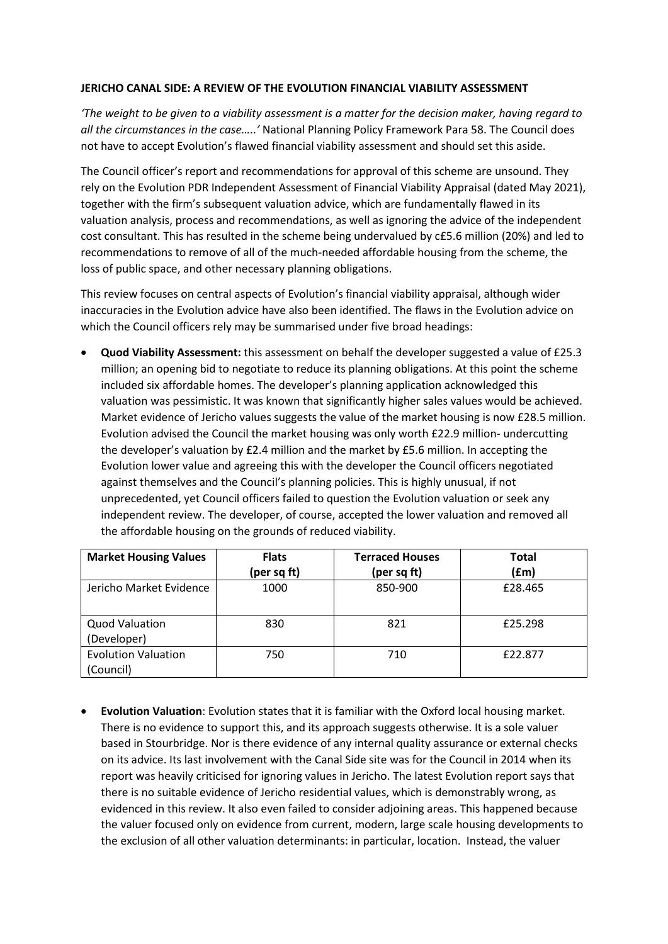### **JERICHO CANAL SIDE: A REVIEW OF THE EVOLUTION FINANCIAL VIABILITY ASSESSMENT**

*'The weight to be given to a viability assessment is a matter for the decision maker, having regard to all the circumstances in the case…..'* National Planning Policy Framework Para 58. The Council does not have to accept Evolution's flawed financial viability assessment and should set this aside.

The Council officer's report and recommendations for approval of this scheme are unsound. They rely on the Evolution PDR Independent Assessment of Financial Viability Appraisal (dated May 2021), together with the firm's subsequent valuation advice, which are fundamentally flawed in its valuation analysis, process and recommendations, as well as ignoring the advice of the independent cost consultant. This has resulted in the scheme being undervalued by c£5.6 million (20%) and led to recommendations to remove of all of the much-needed affordable housing from the scheme, the loss of public space, and other necessary planning obligations.

This review focuses on central aspects of Evolution's financial viability appraisal, although wider inaccuracies in the Evolution advice have also been identified. The flaws in the Evolution advice on which the Council officers rely may be summarised under five broad headings:

• **Quod Viability Assessment:** this assessment on behalf the developer suggested a value of £25.3 million; an opening bid to negotiate to reduce its planning obligations. At this point the scheme included six affordable homes. The developer's planning application acknowledged this valuation was pessimistic. It was known that significantly higher sales values would be achieved. Market evidence of Jericho values suggests the value of the market housing is now £28.5 million. Evolution advised the Council the market housing was only worth £22.9 million- undercutting the developer's valuation by £2.4 million and the market by £5.6 million. In accepting the Evolution lower value and agreeing this with the developer the Council officers negotiated against themselves and the Council's planning policies. This is highly unusual, if not unprecedented, yet Council officers failed to question the Evolution valuation or seek any independent review. The developer, of course, accepted the lower valuation and removed all the affordable housing on the grounds of reduced viability.

| <b>Market Housing Values</b>            | <b>Flats</b><br>(per sq ft) | <b>Terraced Houses</b><br>(per sq ft) | <b>Total</b><br>(£m) |
|-----------------------------------------|-----------------------------|---------------------------------------|----------------------|
| Jericho Market Evidence                 | 1000                        | 850-900                               | £28.465              |
| <b>Quod Valuation</b><br>(Developer)    | 830                         | 821                                   | £25.298              |
| <b>Evolution Valuation</b><br>(Council) | 750                         | 710                                   | £22.877              |

• **Evolution Valuation**: Evolution states that it is familiar with the Oxford local housing market. There is no evidence to support this, and its approach suggests otherwise. It is a sole valuer based in Stourbridge. Nor is there evidence of any internal quality assurance or external checks on its advice. Its last involvement with the Canal Side site was for the Council in 2014 when its report was heavily criticised for ignoring values in Jericho. The latest Evolution report says that there is no suitable evidence of Jericho residential values, which is demonstrably wrong, as evidenced in this review. It also even failed to consider adjoining areas. This happened because the valuer focused only on evidence from current, modern, large scale housing developments to the exclusion of all other valuation determinants: in particular, location. Instead, the valuer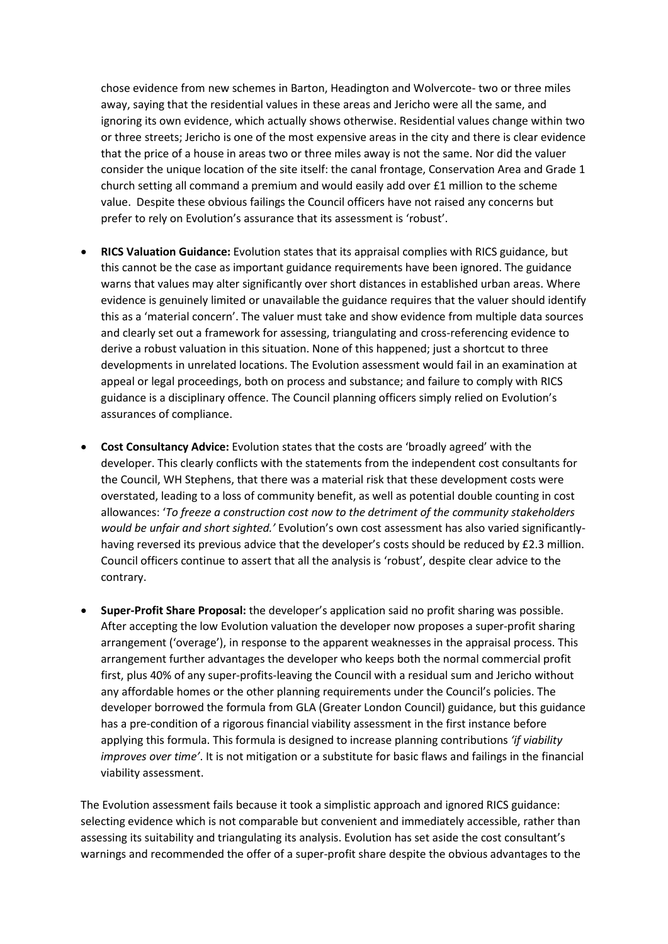chose evidence from new schemes in Barton, Headington and Wolvercote- two or three miles away, saying that the residential values in these areas and Jericho were all the same, and ignoring its own evidence, which actually shows otherwise. Residential values change within two or three streets; Jericho is one of the most expensive areas in the city and there is clear evidence that the price of a house in areas two or three miles away is not the same. Nor did the valuer consider the unique location of the site itself: the canal frontage, Conservation Area and Grade 1 church setting all command a premium and would easily add over £1 million to the scheme value. Despite these obvious failings the Council officers have not raised any concerns but prefer to rely on Evolution's assurance that its assessment is 'robust'.

- **RICS Valuation Guidance:** Evolution states that its appraisal complies with RICS guidance, but this cannot be the case as important guidance requirements have been ignored. The guidance warns that values may alter significantly over short distances in established urban areas. Where evidence is genuinely limited or unavailable the guidance requires that the valuer should identify this as a 'material concern'. The valuer must take and show evidence from multiple data sources and clearly set out a framework for assessing, triangulating and cross-referencing evidence to derive a robust valuation in this situation. None of this happened; just a shortcut to three developments in unrelated locations. The Evolution assessment would fail in an examination at appeal or legal proceedings, both on process and substance; and failure to comply with RICS guidance is a disciplinary offence. The Council planning officers simply relied on Evolution's assurances of compliance.
- **Cost Consultancy Advice:** Evolution states that the costs are 'broadly agreed' with the developer. This clearly conflicts with the statements from the independent cost consultants for the Council, WH Stephens, that there was a material risk that these development costs were overstated, leading to a loss of community benefit, as well as potential double counting in cost allowances: '*To freeze a construction cost now to the detriment of the community stakeholders would be unfair and short sighted.'* Evolution's own cost assessment has also varied significantlyhaving reversed its previous advice that the developer's costs should be reduced by £2.3 million. Council officers continue to assert that all the analysis is 'robust', despite clear advice to the contrary.
- **Super-Profit Share Proposal:** the developer's application said no profit sharing was possible. After accepting the low Evolution valuation the developer now proposes a super-profit sharing arrangement ('overage'), in response to the apparent weaknesses in the appraisal process. This arrangement further advantages the developer who keeps both the normal commercial profit first, plus 40% of any super-profits-leaving the Council with a residual sum and Jericho without any affordable homes or the other planning requirements under the Council's policies. The developer borrowed the formula from GLA (Greater London Council) guidance, but this guidance has a pre-condition of a rigorous financial viability assessment in the first instance before applying this formula. This formula is designed to increase planning contributions *'if viability improves over time'*. It is not mitigation or a substitute for basic flaws and failings in the financial viability assessment.

The Evolution assessment fails because it took a simplistic approach and ignored RICS guidance: selecting evidence which is not comparable but convenient and immediately accessible, rather than assessing its suitability and triangulating its analysis. Evolution has set aside the cost consultant's warnings and recommended the offer of a super-profit share despite the obvious advantages to the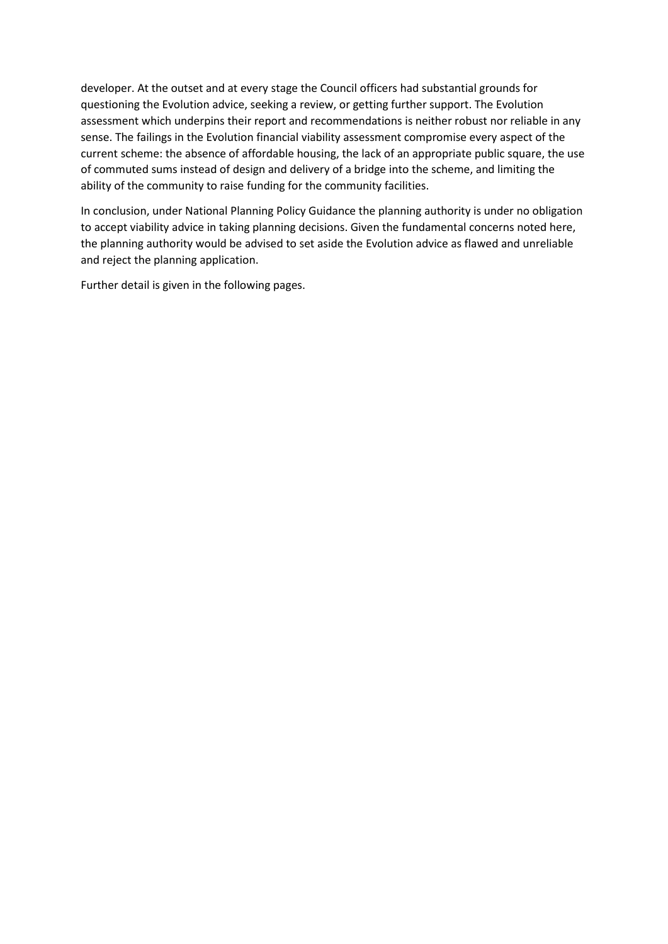developer. At the outset and at every stage the Council officers had substantial grounds for questioning the Evolution advice, seeking a review, or getting further support. The Evolution assessment which underpins their report and recommendations is neither robust nor reliable in any sense. The failings in the Evolution financial viability assessment compromise every aspect of the current scheme: the absence of affordable housing, the lack of an appropriate public square, the use of commuted sums instead of design and delivery of a bridge into the scheme, and limiting the ability of the community to raise funding for the community facilities.

In conclusion, under National Planning Policy Guidance the planning authority is under no obligation to accept viability advice in taking planning decisions. Given the fundamental concerns noted here, the planning authority would be advised to set aside the Evolution advice as flawed and unreliable and reject the planning application.

Further detail is given in the following pages.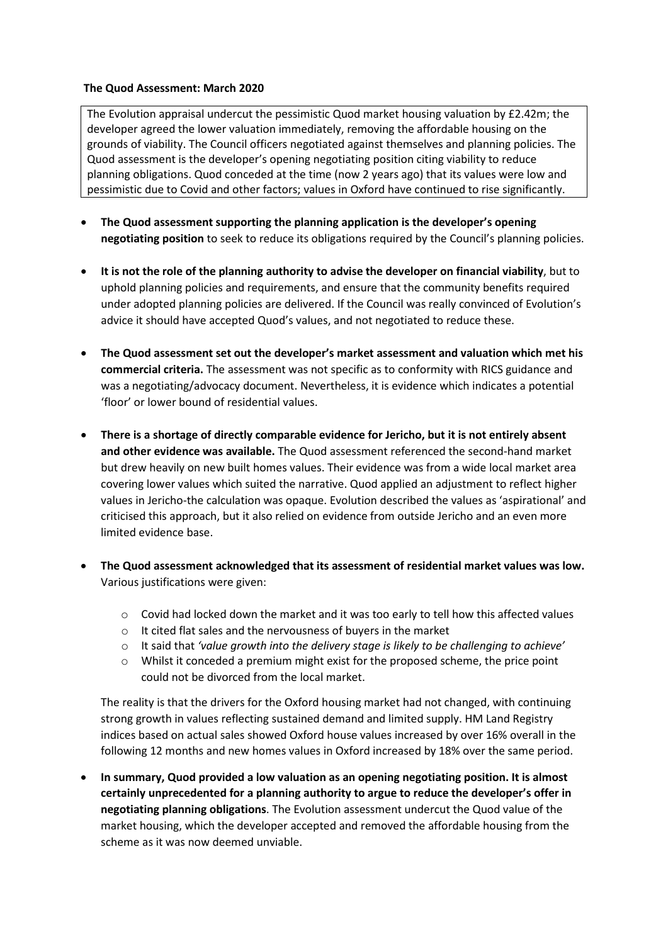### **The Quod Assessment: March 2020**

The Evolution appraisal undercut the pessimistic Quod market housing valuation by £2.42m; the developer agreed the lower valuation immediately, removing the affordable housing on the grounds of viability. The Council officers negotiated against themselves and planning policies. The Quod assessment is the developer's opening negotiating position citing viability to reduce planning obligations. Quod conceded at the time (now 2 years ago) that its values were low and pessimistic due to Covid and other factors; values in Oxford have continued to rise significantly.

- **The Quod assessment supporting the planning application is the developer's opening negotiating position** to seek to reduce its obligations required by the Council's planning policies.
- **It is not the role of the planning authority to advise the developer on financial viability**, but to uphold planning policies and requirements, and ensure that the community benefits required under adopted planning policies are delivered. If the Council was really convinced of Evolution's advice it should have accepted Quod's values, and not negotiated to reduce these.
- **The Quod assessment set out the developer's market assessment and valuation which met his commercial criteria.** The assessment was not specific as to conformity with RICS guidance and was a negotiating/advocacy document. Nevertheless, it is evidence which indicates a potential 'floor' or lower bound of residential values.
- **There is a shortage of directly comparable evidence for Jericho, but it is not entirely absent and other evidence was available.** The Quod assessment referenced the second-hand market but drew heavily on new built homes values. Their evidence was from a wide local market area covering lower values which suited the narrative. Quod applied an adjustment to reflect higher values in Jericho-the calculation was opaque. Evolution described the values as 'aspirational' and criticised this approach, but it also relied on evidence from outside Jericho and an even more limited evidence base.
- **The Quod assessment acknowledged that its assessment of residential market values was low.** Various justifications were given:
	- o Covid had locked down the market and it was too early to tell how this affected values
	- o It cited flat sales and the nervousness of buyers in the market
	- o It said that *'value growth into the delivery stage is likely to be challenging to achieve'*
	- o Whilst it conceded a premium might exist for the proposed scheme, the price point could not be divorced from the local market.

The reality is that the drivers for the Oxford housing market had not changed, with continuing strong growth in values reflecting sustained demand and limited supply. HM Land Registry indices based on actual sales showed Oxford house values increased by over 16% overall in the following 12 months and new homes values in Oxford increased by 18% over the same period.

• **In summary, Quod provided a low valuation as an opening negotiating position. It is almost certainly unprecedented for a planning authority to argue to reduce the developer's offer in negotiating planning obligations**. The Evolution assessment undercut the Quod value of the market housing, which the developer accepted and removed the affordable housing from the scheme as it was now deemed unviable.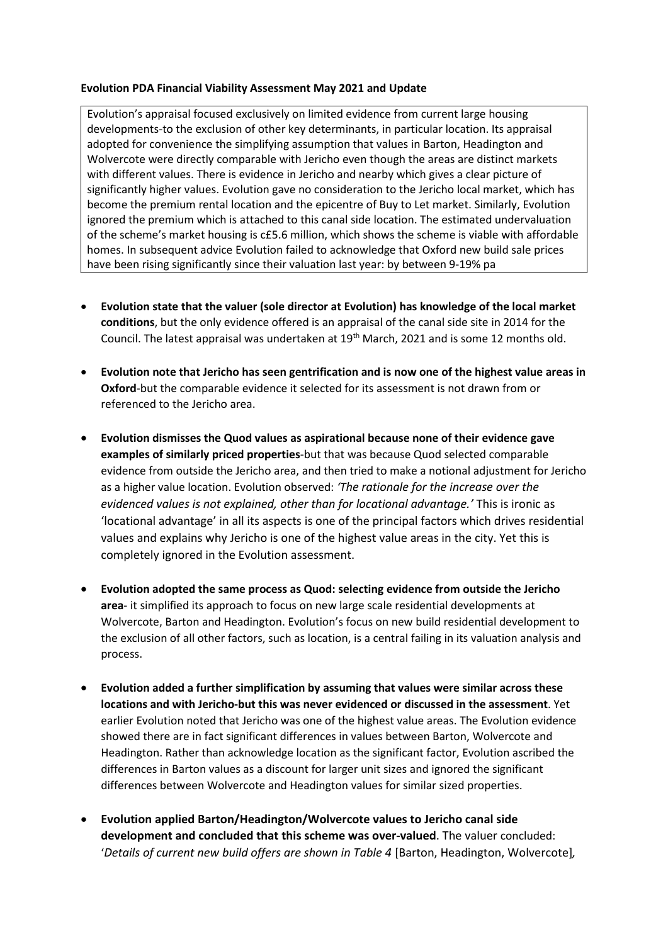### **Evolution PDA Financial Viability Assessment May 2021 and Update**

Evolution's appraisal focused exclusively on limited evidence from current large housing developments-to the exclusion of other key determinants, in particular location. Its appraisal adopted for convenience the simplifying assumption that values in Barton, Headington and Wolvercote were directly comparable with Jericho even though the areas are distinct markets with different values. There is evidence in Jericho and nearby which gives a clear picture of significantly higher values. Evolution gave no consideration to the Jericho local market, which has become the premium rental location and the epicentre of Buy to Let market. Similarly, Evolution ignored the premium which is attached to this canal side location. The estimated undervaluation of the scheme's market housing is c£5.6 million, which shows the scheme is viable with affordable homes. In subsequent advice Evolution failed to acknowledge that Oxford new build sale prices have been rising significantly since their valuation last year: by between 9-19% pa

- **Evolution state that the valuer (sole director at Evolution) has knowledge of the local market conditions**, but the only evidence offered is an appraisal of the canal side site in 2014 for the Council. The latest appraisal was undertaken at 19<sup>th</sup> March, 2021 and is some 12 months old.
- **Evolution note that Jericho has seen gentrification and is now one of the highest value areas in Oxford**-but the comparable evidence it selected for its assessment is not drawn from or referenced to the Jericho area.
- **Evolution dismisses the Quod values as aspirational because none of their evidence gave examples of similarly priced properties**-but that was because Quod selected comparable evidence from outside the Jericho area, and then tried to make a notional adjustment for Jericho as a higher value location. Evolution observed: *'The rationale for the increase over the evidenced values is not explained, other than for locational advantage.'* This is ironic as 'locational advantage' in all its aspects is one of the principal factors which drives residential values and explains why Jericho is one of the highest value areas in the city. Yet this is completely ignored in the Evolution assessment.
- **Evolution adopted the same process as Quod: selecting evidence from outside the Jericho area**- it simplified its approach to focus on new large scale residential developments at Wolvercote, Barton and Headington. Evolution's focus on new build residential development to the exclusion of all other factors, such as location, is a central failing in its valuation analysis and process.
- **Evolution added a further simplification by assuming that values were similar across these locations and with Jericho-but this was never evidenced or discussed in the assessment**. Yet earlier Evolution noted that Jericho was one of the highest value areas. The Evolution evidence showed there are in fact significant differences in values between Barton, Wolvercote and Headington. Rather than acknowledge location as the significant factor, Evolution ascribed the differences in Barton values as a discount for larger unit sizes and ignored the significant differences between Wolvercote and Headington values for similar sized properties.
- **Evolution applied Barton/Headington/Wolvercote values to Jericho canal side development and concluded that this scheme was over-valued**. The valuer concluded: '*Details of current new build offers are shown in Table 4* [Barton, Headington, Wolvercote]*,*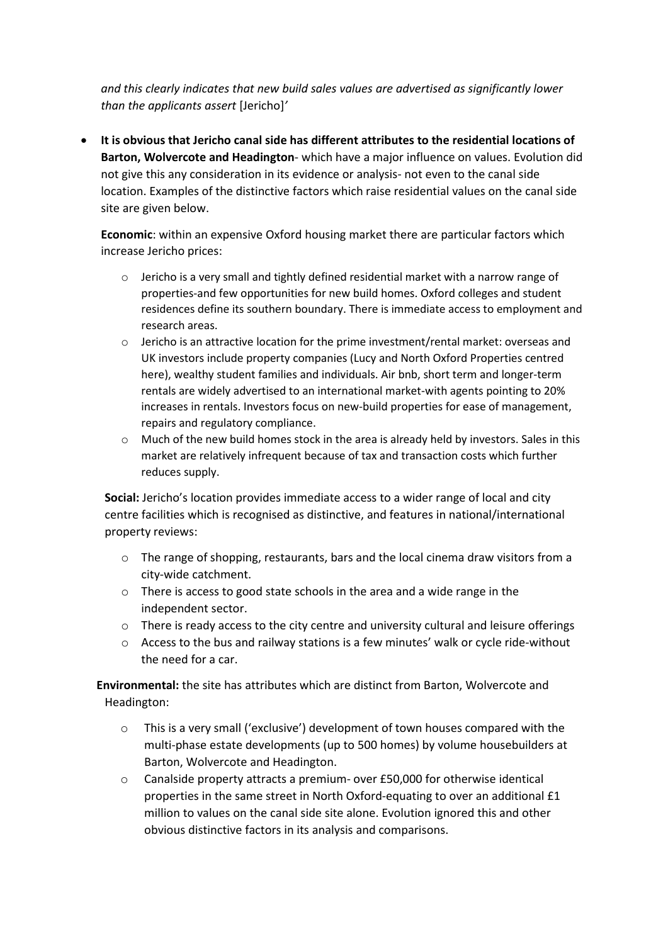*and this clearly indicates that new build sales values are advertised as significantly lower than the applicants assert* [Jericho]*'*

• **It is obvious that Jericho canal side has different attributes to the residential locations of Barton, Wolvercote and Headington**- which have a major influence on values. Evolution did not give this any consideration in its evidence or analysis- not even to the canal side location. Examples of the distinctive factors which raise residential values on the canal side site are given below.

**Economic**: within an expensive Oxford housing market there are particular factors which increase Jericho prices:

- $\circ$  Jericho is a very small and tightly defined residential market with a narrow range of properties-and few opportunities for new build homes. Oxford colleges and student residences define its southern boundary. There is immediate access to employment and research areas.
- o Jericho is an attractive location for the prime investment/rental market: overseas and UK investors include property companies (Lucy and North Oxford Properties centred here), wealthy student families and individuals. Air bnb, short term and longer-term rentals are widely advertised to an international market-with agents pointing to 20% increases in rentals. Investors focus on new-build properties for ease of management, repairs and regulatory compliance.
- $\circ$  Much of the new build homes stock in the area is already held by investors. Sales in this market are relatively infrequent because of tax and transaction costs which further reduces supply.

**Social:** Jericho's location provides immediate access to a wider range of local and city centre facilities which is recognised as distinctive, and features in national/international property reviews:

- o The range of shopping, restaurants, bars and the local cinema draw visitors from a city-wide catchment.
- $\circ$  There is access to good state schools in the area and a wide range in the independent sector.
- $\circ$  There is ready access to the city centre and university cultural and leisure offerings
- $\circ$  Access to the bus and railway stations is a few minutes' walk or cycle ride-without the need for a car.

**Environmental:** the site has attributes which are distinct from Barton, Wolvercote and Headington:

- $\circ$  This is a very small ('exclusive') development of town houses compared with the multi-phase estate developments (up to 500 homes) by volume housebuilders at Barton, Wolvercote and Headington.
- $\circ$  Canalside property attracts a premium- over £50,000 for otherwise identical properties in the same street in North Oxford-equating to over an additional £1 million to values on the canal side site alone. Evolution ignored this and other obvious distinctive factors in its analysis and comparisons.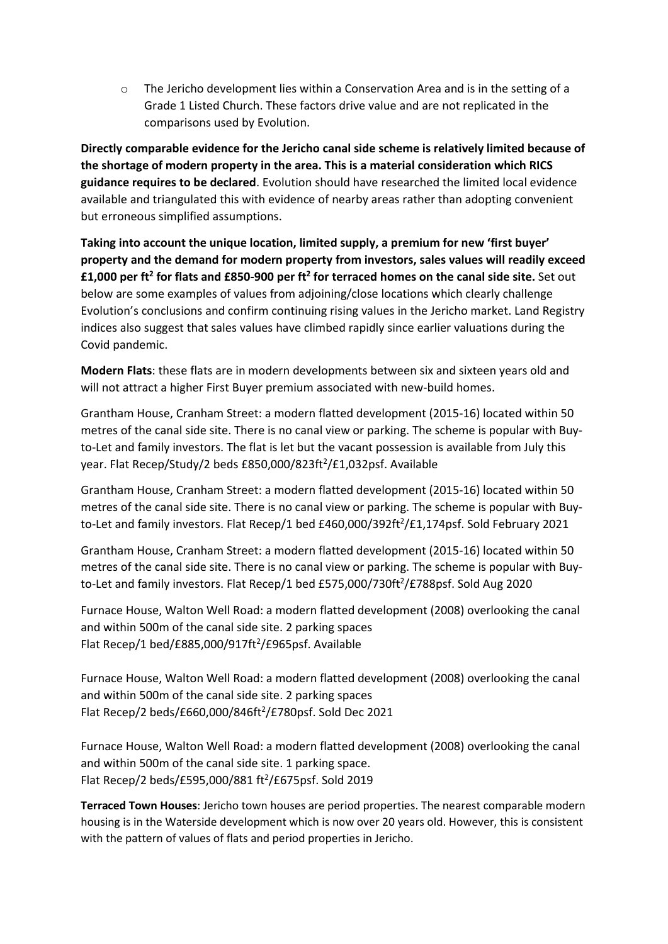$\circ$  The Jericho development lies within a Conservation Area and is in the setting of a Grade 1 Listed Church. These factors drive value and are not replicated in the comparisons used by Evolution.

**Directly comparable evidence for the Jericho canal side scheme is relatively limited because of the shortage of modern property in the area. This is a material consideration which RICS guidance requires to be declared**. Evolution should have researched the limited local evidence available and triangulated this with evidence of nearby areas rather than adopting convenient but erroneous simplified assumptions.

**Taking into account the unique location, limited supply, a premium for new 'first buyer' property and the demand for modern property from investors, sales values will readily exceed £1,000 per ft2 for flats and £850-900 per ft2 for terraced homes on the canal side site.** Set out below are some examples of values from adjoining/close locations which clearly challenge Evolution's conclusions and confirm continuing rising values in the Jericho market. Land Registry indices also suggest that sales values have climbed rapidly since earlier valuations during the Covid pandemic.

**Modern Flats**: these flats are in modern developments between six and sixteen years old and will not attract a higher First Buyer premium associated with new-build homes.

Grantham House, Cranham Street: a modern flatted development (2015-16) located within 50 metres of the canal side site. There is no canal view or parking. The scheme is popular with Buyto-Let and family investors. The flat is let but the vacant possession is available from July this year. Flat Recep/Study/2 beds £850,000/823ft<sup>2</sup>/£1,032psf. Available

Grantham House, Cranham Street: a modern flatted development (2015-16) located within 50 metres of the canal side site. There is no canal view or parking. The scheme is popular with Buyto-Let and family investors. Flat Recep/1 bed £460,000/392ft<sup>2</sup>/£1,174psf. Sold February 2021

Grantham House, Cranham Street: a modern flatted development (2015-16) located within 50 metres of the canal side site. There is no canal view or parking. The scheme is popular with Buyto-Let and family investors. Flat Recep/1 bed £575,000/730ft<sup>2</sup>/£788psf. Sold Aug 2020

Furnace House, Walton Well Road: a modern flatted development (2008) overlooking the canal and within 500m of the canal side site. 2 parking spaces Flat Recep/1 bed/£885,000/917ft<sup>2</sup>/£965psf. Available

Furnace House, Walton Well Road: a modern flatted development (2008) overlooking the canal and within 500m of the canal side site. 2 parking spaces Flat Recep/2 beds/£660,000/846ft<sup>2</sup>/£780psf. Sold Dec 2021

Furnace House, Walton Well Road: a modern flatted development (2008) overlooking the canal and within 500m of the canal side site. 1 parking space. Flat Recep/2 beds/£595,000/881 ft<sup>2</sup>/£675psf. Sold 2019

**Terraced Town Houses**: Jericho town houses are period properties. The nearest comparable modern housing is in the Waterside development which is now over 20 years old. However, this is consistent with the pattern of values of flats and period properties in Jericho.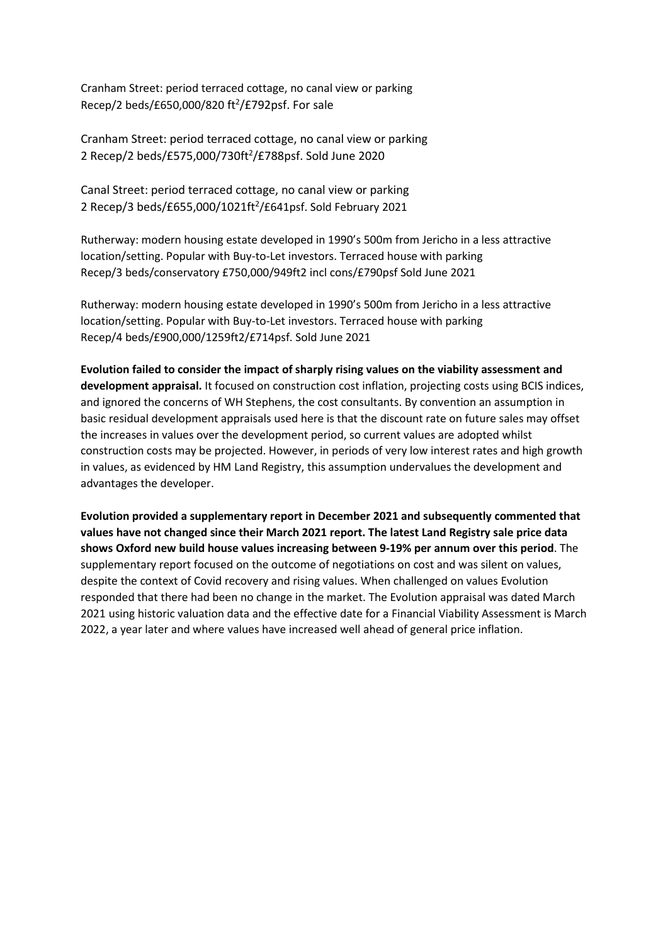Cranham Street: period terraced cottage, no canal view or parking Recep/2 beds/£650,000/820 ft<sup>2</sup>/£792psf. For sale

Cranham Street: period terraced cottage, no canal view or parking 2 Recep/2 beds/£575,000/730ft<sup>2</sup>/£788psf. Sold June 2020

Canal Street: period terraced cottage, no canal view or parking 2 Recep/3 beds/£655,000/1021ft<sup>2</sup>/£641psf. Sold February 2021

Rutherway: modern housing estate developed in 1990's 500m from Jericho in a less attractive location/setting. Popular with Buy-to-Let investors. Terraced house with parking Recep/3 beds/conservatory £750,000/949ft2 incl cons/£790psf Sold June 2021

Rutherway: modern housing estate developed in 1990's 500m from Jericho in a less attractive location/setting. Popular with Buy-to-Let investors. Terraced house with parking Recep/4 beds/£900,000/1259ft2/£714psf. Sold June 2021

**Evolution failed to consider the impact of sharply rising values on the viability assessment and development appraisal.** It focused on construction cost inflation, projecting costs using BCIS indices, and ignored the concerns of WH Stephens, the cost consultants. By convention an assumption in basic residual development appraisals used here is that the discount rate on future sales may offset the increases in values over the development period, so current values are adopted whilst construction costs may be projected. However, in periods of very low interest rates and high growth in values, as evidenced by HM Land Registry, this assumption undervalues the development and advantages the developer.

**Evolution provided a supplementary report in December 2021 and subsequently commented that values have not changed since their March 2021 report. The latest Land Registry sale price data shows Oxford new build house values increasing between 9-19% per annum over this period**. The supplementary report focused on the outcome of negotiations on cost and was silent on values, despite the context of Covid recovery and rising values. When challenged on values Evolution responded that there had been no change in the market. The Evolution appraisal was dated March 2021 using historic valuation data and the effective date for a Financial Viability Assessment is March 2022, a year later and where values have increased well ahead of general price inflation.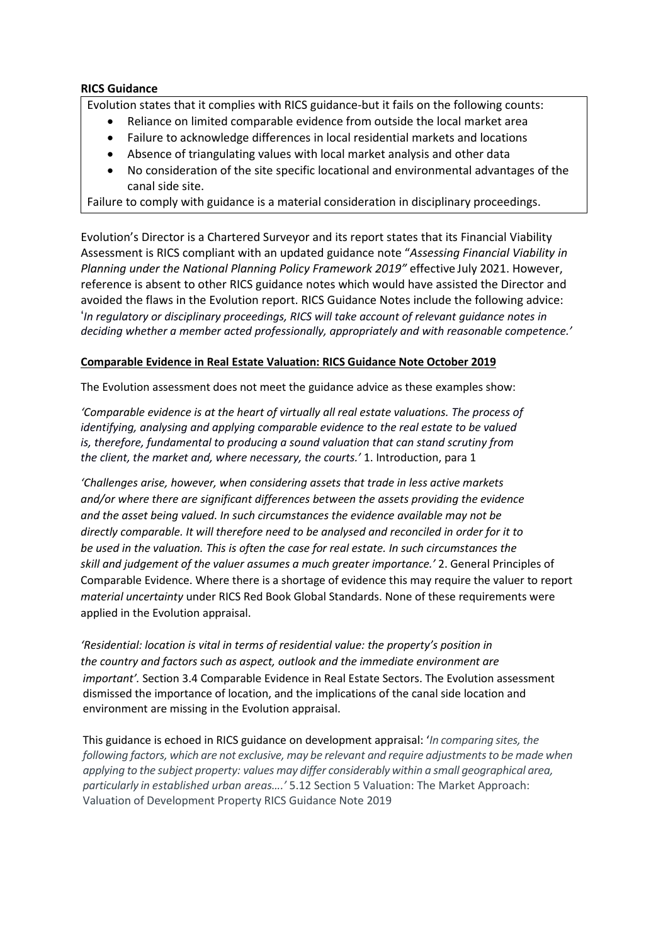# **RICS Guidance**

Evolution states that it complies with RICS guidance-but it fails on the following counts:

- Reliance on limited comparable evidence from outside the local market area
- Failure to acknowledge differences in local residential markets and locations
- Absence of triangulating values with local market analysis and other data
- No consideration of the site specific locational and environmental advantages of the canal side site.

Failure to comply with guidance is a material consideration in disciplinary proceedings.

Evolution's Director is a Chartered Surveyor and its report states that its Financial Viability Assessment is RICS compliant with an updated guidance note "*Assessing Financial Viability in Planning under the National Planning Policy Framework 2019"* effective July 2021. However, reference is absent to other RICS guidance notes which would have assisted the Director and avoided the flaws in the Evolution report. RICS Guidance Notes include the following advice: '*In regulatory or disciplinary proceedings, RICS will take account of relevant guidance notes in deciding whether a member acted professionally, appropriately and with reasonable competence.'*

## **Comparable Evidence in Real Estate Valuation: RICS Guidance Note October 2019**

The Evolution assessment does not meet the guidance advice as these examples show:

*'Comparable evidence is at the heart of virtually all real estate valuations. The process of identifying, analysing and applying comparable evidence to the real estate to be valued is, therefore, fundamental to producing a sound valuation that can stand scrutiny from the client, the market and, where necessary, the courts.'* 1. Introduction, para 1

*'Challenges arise, however, when considering assets that trade in less active markets and/or where there are significant differences between the assets providing the evidence and the asset being valued. In such circumstances the evidence available may not be directly comparable. It will therefore need to be analysed and reconciled in order for it to be used in the valuation. This is often the case for real estate. In such circumstances the skill and judgement of the valuer assumes a much greater importance.'* 2. General Principles of Comparable Evidence. Where there is a shortage of evidence this may require the valuer to report *material uncertainty* under RICS Red Book Global Standards. None of these requirements were applied in the Evolution appraisal.

*'Residential: location is vital in terms of residential value: the property's position in the country and factors such as aspect, outlook and the immediate environment are important'.* Section 3.4 Comparable Evidence in Real Estate Sectors. The Evolution assessment dismissed the importance of location, and the implications of the canal side location and environment are missing in the Evolution appraisal.

This guidance is echoed in RICS guidance on development appraisal: '*In comparing sites, the following factors, which are not exclusive, may be relevant and require adjustmentsto be made when applying to the subject property: values may differ considerably within a small geographical area, particularly in established urban areas….'* 5.12 Section 5 Valuation: The Market Approach: Valuation of Development Property RICS Guidance Note 2019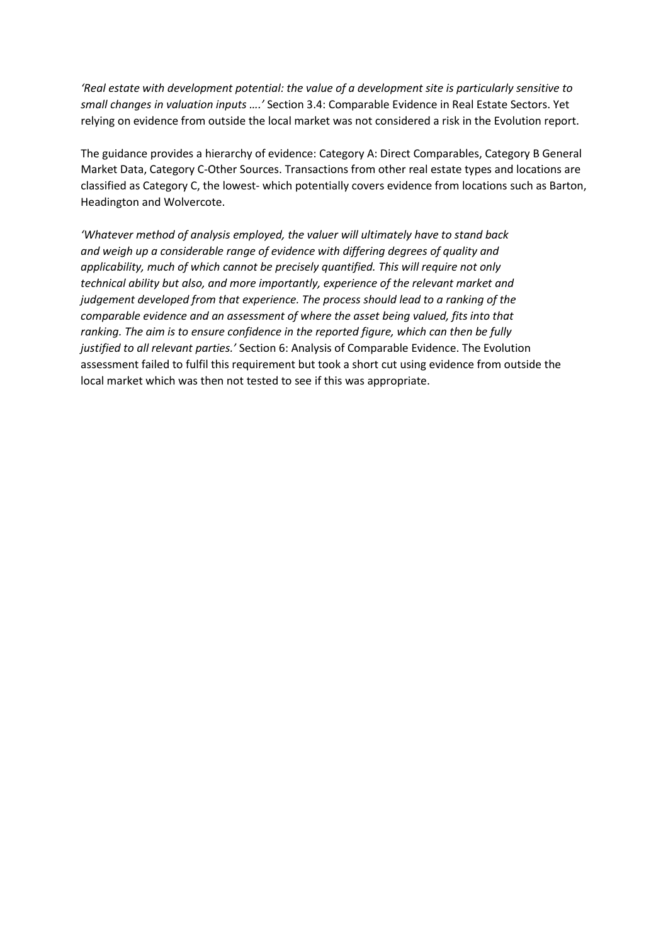*'Real estate with development potential: the value of a development site is particularly sensitive to small changes in valuation inputs ….'* Section 3.4: Comparable Evidence in Real Estate Sectors. Yet relying on evidence from outside the local market was not considered a risk in the Evolution report.

The guidance provides a hierarchy of evidence: Category A: Direct Comparables, Category B General Market Data, Category C-Other Sources. Transactions from other real estate types and locations are classified as Category C, the lowest- which potentially covers evidence from locations such as Barton, Headington and Wolvercote.

*'Whatever method of analysis employed, the valuer will ultimately have to stand back and weigh up a considerable range of evidence with differing degrees of quality and applicability, much of which cannot be precisely quantified. This will require not only technical ability but also, and more importantly, experience of the relevant market and judgement developed from that experience. The process should lead to a ranking of the comparable evidence and an assessment of where the asset being valued, fits into that ranking. The aim is to ensure confidence in the reported figure, which can then be fully justified to all relevant parties.'* Section 6: Analysis of Comparable Evidence. The Evolution assessment failed to fulfil this requirement but took a short cut using evidence from outside the local market which was then not tested to see if this was appropriate.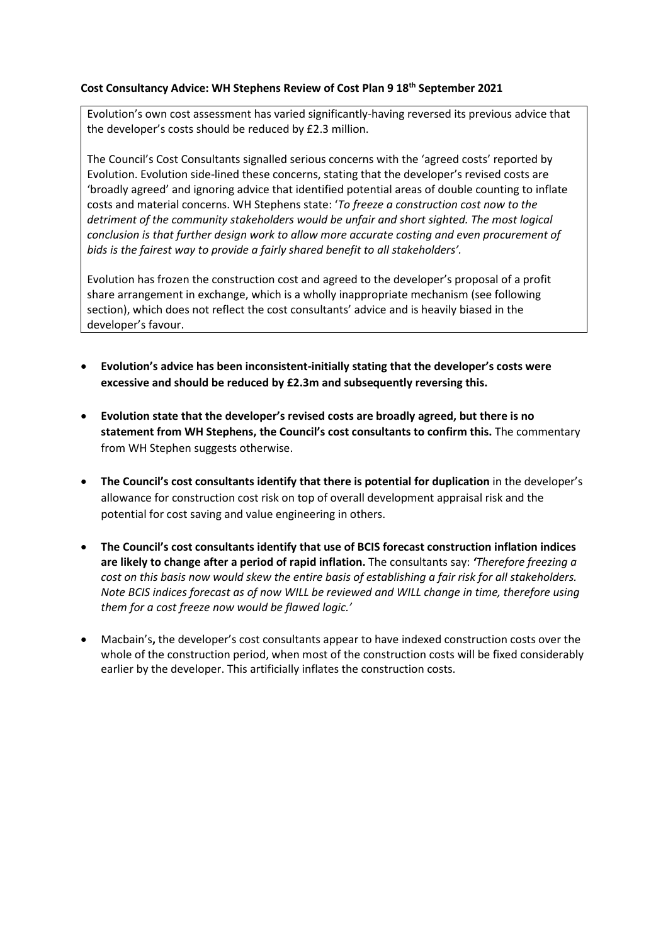### **Cost Consultancy Advice: WH Stephens Review of Cost Plan 9 18th September 2021**

Evolution's own cost assessment has varied significantly-having reversed its previous advice that the developer's costs should be reduced by £2.3 million.

The Council's Cost Consultants signalled serious concerns with the 'agreed costs' reported by Evolution. Evolution side-lined these concerns, stating that the developer's revised costs are 'broadly agreed' and ignoring advice that identified potential areas of double counting to inflate costs and material concerns. WH Stephens state: '*To freeze a construction cost now to the detriment of the community stakeholders would be unfair and short sighted. The most logical conclusion is that further design work to allow more accurate costing and even procurement of bids is the fairest way to provide a fairly shared benefit to all stakeholders'.* 

Evolution has frozen the construction cost and agreed to the developer's proposal of a profit share arrangement in exchange, which is a wholly inappropriate mechanism (see following section), which does not reflect the cost consultants' advice and is heavily biased in the developer's favour.

- **Evolution's advice has been inconsistent-initially stating that the developer's costs were excessive and should be reduced by £2.3m and subsequently reversing this.**
- **Evolution state that the developer's revised costs are broadly agreed, but there is no statement from WH Stephens, the Council's cost consultants to confirm this.** The commentary from WH Stephen suggests otherwise.
- **The Council's cost consultants identify that there is potential for duplication** in the developer's allowance for construction cost risk on top of overall development appraisal risk and the potential for cost saving and value engineering in others.
- **The Council's cost consultants identify that use of BCIS forecast construction inflation indices are likely to change after a period of rapid inflation.** The consultants say: *'Therefore freezing a cost on this basis now would skew the entire basis of establishing a fair risk for all stakeholders. Note BCIS indices forecast as of now WILL be reviewed and WILL change in time, therefore using them for a cost freeze now would be flawed logic.'*
- Macbain's**,** the developer's cost consultants appear to have indexed construction costs over the whole of the construction period, when most of the construction costs will be fixed considerably earlier by the developer. This artificially inflates the construction costs.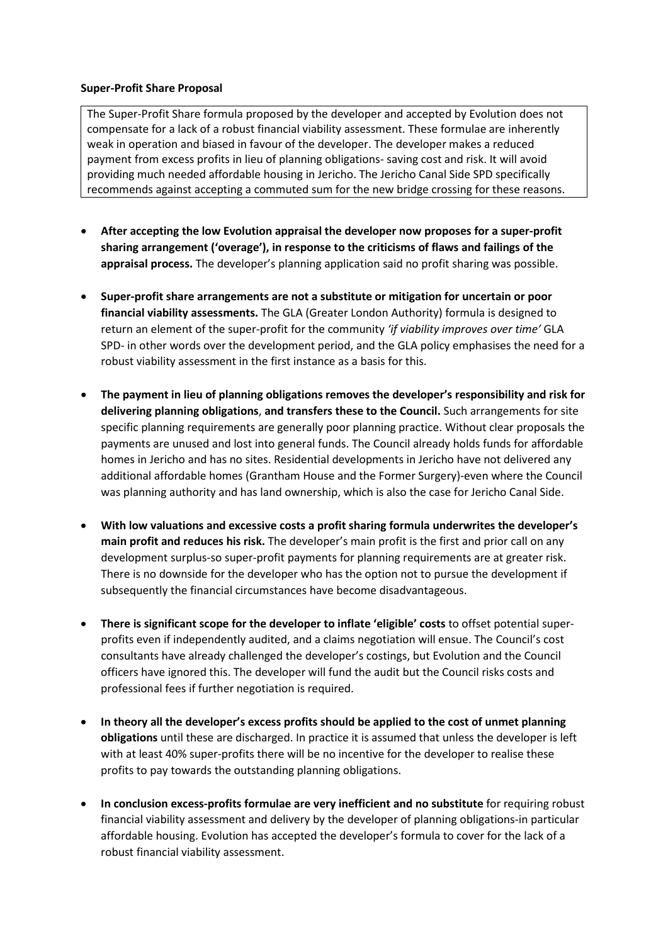### **Super-Profit Share Proposal**

The Super-Profit Share formula proposed by the developer and accepted by Evolution does not compensate for a lack of a robust financial viability assessment. These formulae are inherently weak in operation and biased in favour of the developer. The developer makes a reduced payment from excess profits in lieu of planning obligations- saving cost and risk. It will avoid providing much needed affordable housing in Jericho. The Jericho Canal Side SPD specifically recommends against accepting a commuted sum for the new bridge crossing for these reasons.

- **After accepting the low Evolution appraisal the developer now proposes for a super-profit sharing arrangement ('overage'), in response to the criticisms of flaws and failings of the appraisal process.** The developer's planning application said no profit sharing was possible.
- **Super-profit share arrangements are not a substitute or mitigation for uncertain or poor financial viability assessments.** The GLA (Greater London Authority) formula is designed to return an element of the super-profit for the community *'if viability improves over time'* GLA SPD- in other words over the development period, and the GLA policy emphasises the need for a robust viability assessment in the first instance as a basis for this.
- **The payment in lieu of planning obligations removes the developer's responsibility and risk for delivering planning obligations**, **and transfers these to the Council.** Such arrangements for site specific planning requirements are generally poor planning practice. Without clear proposals the payments are unused and lost into general funds. The Council already holds funds for affordable homes in Jericho and has no sites. Residential developments in Jericho have not delivered any additional affordable homes (Grantham House and the Former Surgery)-even where the Council was planning authority and has land ownership, which is also the case for Jericho Canal Side.
- **With low valuations and excessive costs a profit sharing formula underwrites the developer's main profit and reduces his risk.** The developer's main profit is the first and prior call on any development surplus-so super-profit payments for planning requirements are at greater risk. There is no downside for the developer who has the option not to pursue the development if subsequently the financial circumstances have become disadvantageous.
- **There is significant scope for the developer to inflate 'eligible' costs** to offset potential superprofits even if independently audited, and a claims negotiation will ensue. The Council's cost consultants have already challenged the developer's costings, but Evolution and the Council officers have ignored this. The developer will fund the audit but the Council risks costs and professional fees if further negotiation is required.
- **In theory all the developer's excess profits should be applied to the cost of unmet planning obligations** until these are discharged. In practice it is assumed that unless the developer is left with at least 40% super-profits there will be no incentive for the developer to realise these profits to pay towards the outstanding planning obligations.
- **In conclusion excess-profits formulae are very inefficient and no substitute** for requiring robust financial viability assessment and delivery by the developer of planning obligations-in particular affordable housing. Evolution has accepted the developer's formula to cover for the lack of a robust financial viability assessment.